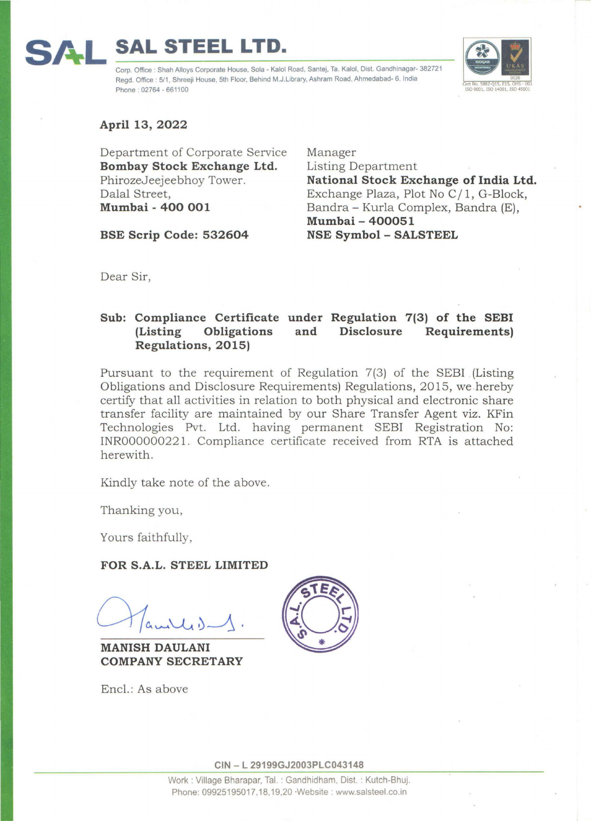## **SAL STEEL LTD.**

Corp. Office : Shah Alloys Corporate House, Sola - Kaloi Road, Santej, Ta. Kaloi, Dist. Gandhinagar- 382721 Regd. Office : 5/1, Shreeji House, 5th Floor, Behind M.J.Library, Ashram Road, Ahmedabad- 6. India Phone : 02764 - 661100



**April 13, 2022** 

Department of Corporate Service **Bombay Stock Exchange Ltd.**  PhirozeJeejeebhoy Tower. Dalal Street, **Mumbai - 400 001** 

**BSE Scrip Code: 532604** 

Manager Listing Department **National Stock Exchange of India Ltd.**  Exchange Plaza, Plot No C/1, G-Block, Bandra - Kurla Complex, Bandra (E), **Mumbai - 400051 NSE Symbol - SALSTEEL** 

Dear Sir,

## **Sub: Compliance Certificate under Regulation 7(3) of the SEBI (Listing Obligations Regulations, 2015) and Disclosure Requirements)**

Pursuant to the requirement of Regulation 7(3) of the SEBI (Listing Obligations and Disclosure Requirements) Regulations, 2015, we .hereby certify that all activities in relation to both physical and electronic share transfer facility are maintained by our Share Transfer Agent viz. KFin Technologies Pvt. Ltd. having permanent SEBI Registration No: INR00000022 l . Compliance certificate received from RTA is attached herewith.

Kindly take note of the above.

Thanking you,

Yours faithfully,

## **FOR S.A.L. STEEL LIMITED**

**MANISH DAULANI COMPANY SECRETARY** 



Encl.: As above

**CIN - L 29199GJ2003PLC043148**